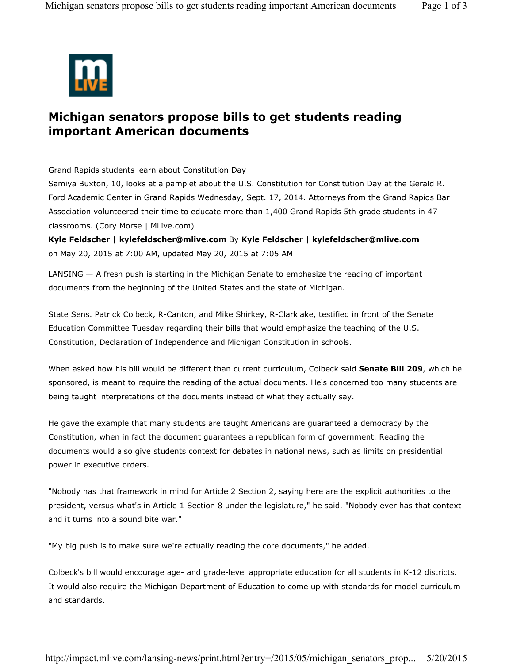

## **Michigan senators propose bills to get students reading important American documents**

Grand Rapids students learn about Constitution Day

Samiya Buxton, 10, looks at a pamplet about the U.S. Constitution for Constitution Day at the Gerald R. Ford Academic Center in Grand Rapids Wednesday, Sept. 17, 2014. Attorneys from the Grand Rapids Bar Association volunteered their time to educate more than 1,400 Grand Rapids 5th grade students in 47 classrooms. (Cory Morse | MLive.com)

**Kyle Feldscher | kylefeldscher@mlive.com** By **Kyle Feldscher | kylefeldscher@mlive.com**  on May 20, 2015 at 7:00 AM, updated May 20, 2015 at 7:05 AM

LANSING — A fresh push is starting in the Michigan Senate to emphasize the reading of important documents from the beginning of the United States and the state of Michigan.

State Sens. Patrick Colbeck, R-Canton, and Mike Shirkey, R-Clarklake, testified in front of the Senate Education Committee Tuesday regarding their bills that would emphasize the teaching of the U.S. Constitution, Declaration of Independence and Michigan Constitution in schools.

When asked how his bill would be different than current curriculum, Colbeck said **Senate Bill 209**, which he sponsored, is meant to require the reading of the actual documents. He's concerned too many students are being taught interpretations of the documents instead of what they actually say.

He gave the example that many students are taught Americans are guaranteed a democracy by the Constitution, when in fact the document guarantees a republican form of government. Reading the documents would also give students context for debates in national news, such as limits on presidential power in executive orders.

"Nobody has that framework in mind for Article 2 Section 2, saying here are the explicit authorities to the president, versus what's in Article 1 Section 8 under the legislature," he said. "Nobody ever has that context and it turns into a sound bite war."

"My big push is to make sure we're actually reading the core documents," he added.

Colbeck's bill would encourage age- and grade-level appropriate education for all students in K-12 districts. It would also require the Michigan Department of Education to come up with standards for model curriculum and standards.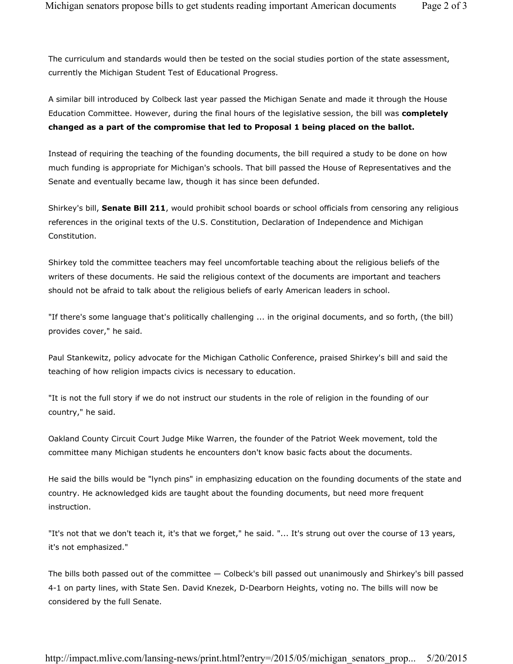The curriculum and standards would then be tested on the social studies portion of the state assessment, currently the Michigan Student Test of Educational Progress.

A similar bill introduced by Colbeck last year passed the Michigan Senate and made it through the House Education Committee. However, during the final hours of the legislative session, the bill was **completely changed as a part of the compromise that led to Proposal 1 being placed on the ballot.**

Instead of requiring the teaching of the founding documents, the bill required a study to be done on how much funding is appropriate for Michigan's schools. That bill passed the House of Representatives and the Senate and eventually became law, though it has since been defunded.

Shirkey's bill, **Senate Bill 211**, would prohibit school boards or school officials from censoring any religious references in the original texts of the U.S. Constitution, Declaration of Independence and Michigan Constitution.

Shirkey told the committee teachers may feel uncomfortable teaching about the religious beliefs of the writers of these documents. He said the religious context of the documents are important and teachers should not be afraid to talk about the religious beliefs of early American leaders in school.

"If there's some language that's politically challenging ... in the original documents, and so forth, (the bill) provides cover," he said.

Paul Stankewitz, policy advocate for the Michigan Catholic Conference, praised Shirkey's bill and said the teaching of how religion impacts civics is necessary to education.

"It is not the full story if we do not instruct our students in the role of religion in the founding of our country," he said.

Oakland County Circuit Court Judge Mike Warren, the founder of the Patriot Week movement, told the committee many Michigan students he encounters don't know basic facts about the documents.

He said the bills would be "lynch pins" in emphasizing education on the founding documents of the state and country. He acknowledged kids are taught about the founding documents, but need more frequent instruction.

"It's not that we don't teach it, it's that we forget," he said. "... It's strung out over the course of 13 years, it's not emphasized."

The bills both passed out of the committee — Colbeck's bill passed out unanimously and Shirkey's bill passed 4-1 on party lines, with State Sen. David Knezek, D-Dearborn Heights, voting no. The bills will now be considered by the full Senate.